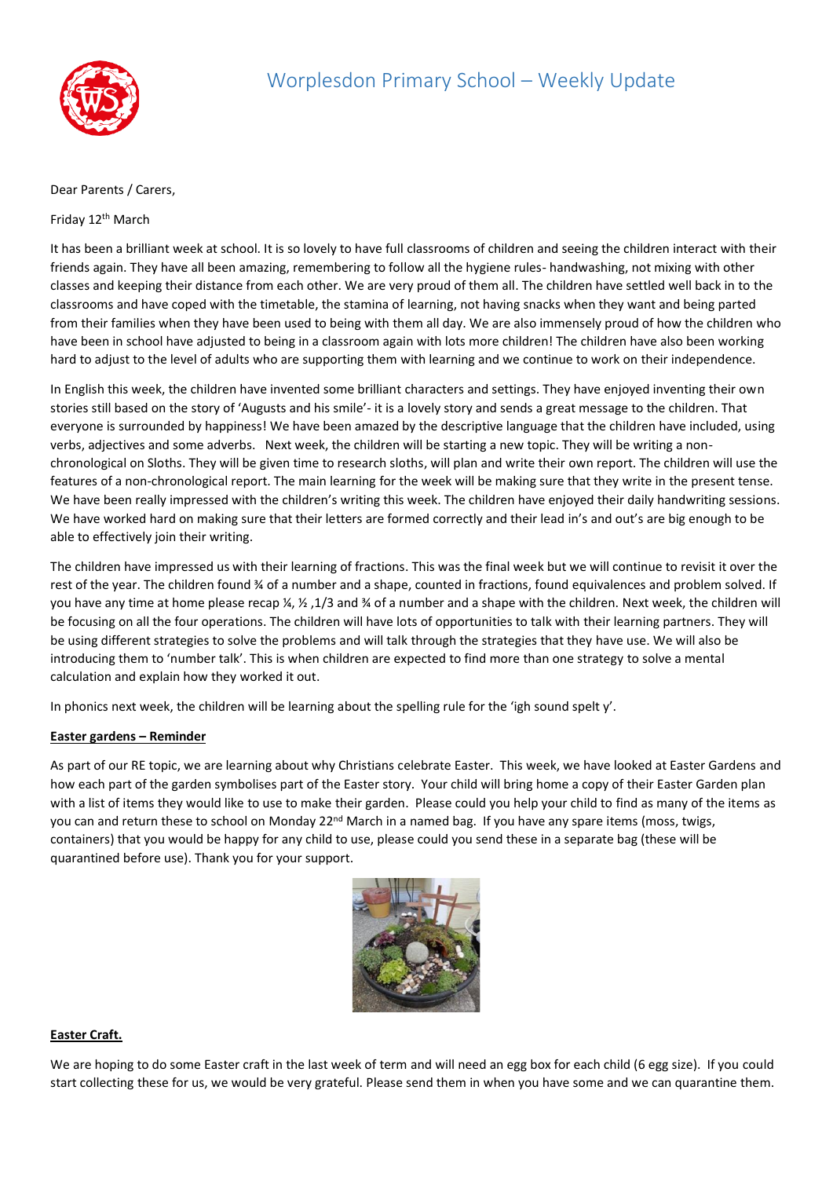

## Dear Parents / Carers,

## Friday 12th March

It has been a brilliant week at school. It is so lovely to have full classrooms of children and seeing the children interact with their friends again. They have all been amazing, remembering to follow all the hygiene rules- handwashing, not mixing with other classes and keeping their distance from each other. We are very proud of them all. The children have settled well back in to the classrooms and have coped with the timetable, the stamina of learning, not having snacks when they want and being parted from their families when they have been used to being with them all day. We are also immensely proud of how the children who have been in school have adjusted to being in a classroom again with lots more children! The children have also been working hard to adjust to the level of adults who are supporting them with learning and we continue to work on their independence.

In English this week, the children have invented some brilliant characters and settings. They have enjoyed inventing their own stories still based on the story of 'Augusts and his smile'- it is a lovely story and sends a great message to the children. That everyone is surrounded by happiness! We have been amazed by the descriptive language that the children have included, using verbs, adjectives and some adverbs. Next week, the children will be starting a new topic. They will be writing a nonchronological on Sloths. They will be given time to research sloths, will plan and write their own report. The children will use the features of a non-chronological report. The main learning for the week will be making sure that they write in the present tense. We have been really impressed with the children's writing this week. The children have enjoyed their daily handwriting sessions. We have worked hard on making sure that their letters are formed correctly and their lead in's and out's are big enough to be able to effectively join their writing.

The children have impressed us with their learning of fractions. This was the final week but we will continue to revisit it over the rest of the year. The children found ¾ of a number and a shape, counted in fractions, found equivalences and problem solved. If you have any time at home please recap ¼, ½ ,1/3 and ¾ of a number and a shape with the children. Next week, the children will be focusing on all the four operations. The children will have lots of opportunities to talk with their learning partners. They will be using different strategies to solve the problems and will talk through the strategies that they have use. We will also be introducing them to 'number talk'. This is when children are expected to find more than one strategy to solve a mental calculation and explain how they worked it out.

In phonics next week, the children will be learning about the spelling rule for the 'igh sound spelt y'.

## **Easter gardens – Reminder**

As part of our RE topic, we are learning about why Christians celebrate Easter. This week, we have looked at Easter Gardens and how each part of the garden symbolises part of the Easter story. Your child will bring home a copy of their Easter Garden plan with a list of items they would like to use to make their garden. Please could you help your child to find as many of the items as you can and return these to school on Monday 22<sup>nd</sup> March in a named bag. If you have any spare items (moss, twigs, containers) that you would be happy for any child to use, please could you send these in a separate bag (these will be quarantined before use). Thank you for your support.



## **Easter Craft.**

We are hoping to do some Easter craft in the last week of term and will need an egg box for each child (6 egg size). If you could start collecting these for us, we would be very grateful. Please send them in when you have some and we can quarantine them.